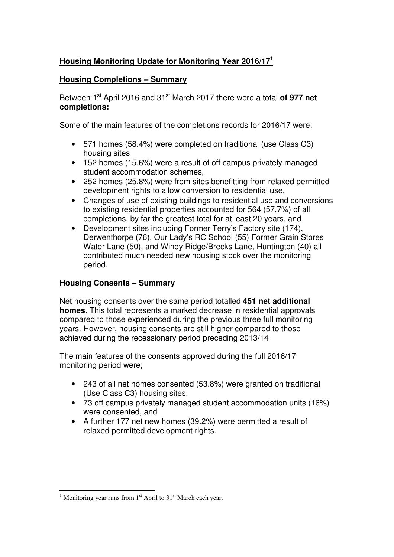# **Housing Monitoring Update for Monitoring Year 2016/17<sup>1</sup>**

# **Housing Completions – Summary**

Between 1st April 2016 and 31st March 2017 there were a total **of 977 net completions:** 

Some of the main features of the completions records for 2016/17 were;

- 571 homes (58.4%) were completed on traditional (use Class C3) housing sites
- 152 homes (15.6%) were a result of off campus privately managed student accommodation schemes,
- 252 homes (25.8%) were from sites benefitting from relaxed permitted development rights to allow conversion to residential use,
- Changes of use of existing buildings to residential use and conversions to existing residential properties accounted for 564 (57.7%) of all completions, by far the greatest total for at least 20 years, and
- Development sites including Former Terry's Factory site (174), Derwenthorpe (76), Our Lady's RC School (55) Former Grain Stores Water Lane (50), and Windy Ridge/Brecks Lane, Huntington (40) all contributed much needed new housing stock over the monitoring period.

### **Housing Consents – Summary**

Net housing consents over the same period totalled **451 net additional homes**. This total represents a marked decrease in residential approvals compared to those experienced during the previous three full monitoring years. However, housing consents are still higher compared to those achieved during the recessionary period preceding 2013/14

The main features of the consents approved during the full 2016/17 monitoring period were;

- 243 of all net homes consented (53.8%) were granted on traditional (Use Class C3) housing sites.
- 73 off campus privately managed student accommodation units (16%) were consented, and
- A further 177 net new homes (39.2%) were permitted a result of relaxed permitted development rights.

<sup>&</sup>lt;sup>1</sup> Monitoring year runs from 1<sup>st</sup> April to 31<sup>st</sup> March each year.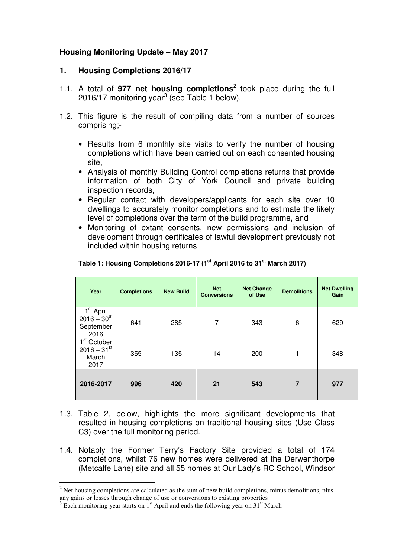# **Housing Monitoring Update – May 2017**

### **1. Housing Completions 2016/17**

- 1.1. A total of 977 net housing completions<sup>2</sup> took place during the full 2016/17 monitoring year<sup>3</sup> (see Table 1 below).
- 1.2. This figure is the result of compiling data from a number of sources comprising;-
	- Results from 6 monthly site visits to verify the number of housing completions which have been carried out on each consented housing site,
	- Analysis of monthly Building Control completions returns that provide information of both City of York Council and private building inspection records,
	- Regular contact with developers/applicants for each site over 10 dwellings to accurately monitor completions and to estimate the likely level of completions over the term of the build programme, and
	- Monitoring of extant consents, new permissions and inclusion of development through certificates of lawful development previously not included within housing returns

| Year                                                                                 | <b>Completions</b> | <b>New Build</b> | <b>Net</b><br><b>Conversions</b> | <b>Net Change</b><br>of Use | <b>Demolitions</b> | <b>Net Dwelling</b><br>Gain |
|--------------------------------------------------------------------------------------|--------------------|------------------|----------------------------------|-----------------------------|--------------------|-----------------------------|
| $1st$ April<br>$2016 - 30^{th}$<br>September<br>2016                                 | 641                | 285              | 7                                | 343                         | 6                  | 629                         |
| $\overline{1}^{\overline{st}}$ October<br>$2016 - 31$ <sup>st</sup><br>March<br>2017 | 355                | 135              | 14                               | 200                         | 1                  | 348                         |
| 2016-2017                                                                            | 996                | 420              | 21                               | 543                         | $\overline{7}$     | 977                         |

### **Table 1: Housing Completions 2016-17 (1st April 2016 to 31st March 2017)**

- 1.3. Table 2, below, highlights the more significant developments that resulted in housing completions on traditional housing sites (Use Class C3) over the full monitoring period.
- 1.4. Notably the Former Terry's Factory Site provided a total of 174 completions, whilst 76 new homes were delivered at the Derwenthorpe (Metcalfe Lane) site and all 55 homes at Our Lady's RC School, Windsor

<sup>&</sup>lt;sup>2</sup> Net housing completions are calculated as the sum of new build completions, minus demolitions, plus any gains or losses through change of use or conversions to existing properties

 $3 \text{ Each monitoring year starts on } 1^{\text{st}}$  April and ends the following year on  $31^{\text{st}}$  March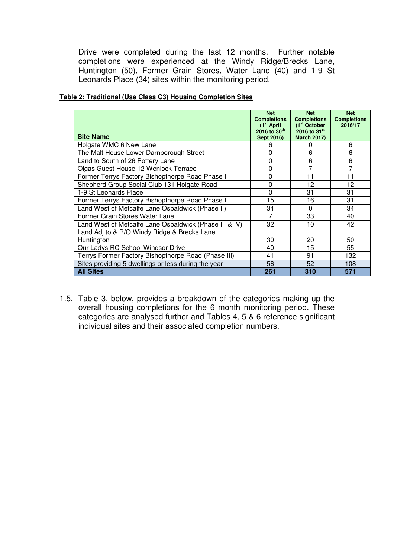Drive were completed during the last 12 months. Further notable completions were experienced at the Windy Ridge/Brecks Lane, Huntington (50), Former Grain Stores, Water Lane (40) and 1-9 St Leonards Place (34) sites within the monitoring period.

| Table 2: Traditional (Use Class C3) Housing Completion Sites |
|--------------------------------------------------------------|
|--------------------------------------------------------------|

|                                                        | <b>Net</b><br><b>Completions</b><br>(1 <sup>st</sup> April | <b>Net</b><br><b>Completions</b><br>(1 <sup>st</sup> October) | <b>Net</b><br><b>Completions</b><br>2016/17 |
|--------------------------------------------------------|------------------------------------------------------------|---------------------------------------------------------------|---------------------------------------------|
| <b>Site Name</b>                                       | $2016$ to $30^{th}$<br>Sept 2016)                          | 2016 to $31^{st}$<br><b>March 2017)</b>                       |                                             |
| Holgate WMC 6 New Lane                                 | 6                                                          | O                                                             | 6                                           |
| The Malt House Lower Darnborough Street                | 0                                                          | 6                                                             | 6                                           |
| Land to South of 26 Pottery Lane                       | 0                                                          | 6                                                             | 6                                           |
| Olgas Guest House 12 Wenlock Terrace                   | 0                                                          | 7                                                             | 7                                           |
| Former Terrys Factory Bishopthorpe Road Phase II       | 0                                                          | 11                                                            | 11                                          |
| Shepherd Group Social Club 131 Holgate Road            | 0                                                          | 12                                                            | 12                                          |
| 1-9 St Leonards Place                                  | 0                                                          | 31                                                            | 31                                          |
| Former Terrys Factory Bishopthorpe Road Phase I        | 15                                                         | 16                                                            | 31                                          |
| Land West of Metcalfe Lane Osbaldwick (Phase II)       | 34                                                         | $\Omega$                                                      | 34                                          |
| Former Grain Stores Water Lane                         | 7                                                          | 33                                                            | 40                                          |
| Land West of Metcalfe Lane Osbaldwick (Phase III & IV) | 32                                                         | 10                                                            | 42                                          |
| Land Adj to & R/O Windy Ridge & Brecks Lane            |                                                            |                                                               |                                             |
| Huntington                                             | 30                                                         | 20                                                            | 50                                          |
| Our Ladys RC School Windsor Drive                      | 40                                                         | 15                                                            | 55                                          |
| Terrys Former Factory Bishopthorpe Road (Phase III)    | 41                                                         | 91                                                            | 132                                         |
| Sites providing 5 dwellings or less during the year    | 56                                                         | 52                                                            | 108                                         |
| <b>All Sites</b>                                       | 261                                                        | 310                                                           | 571                                         |

1.5. Table 3, below, provides a breakdown of the categories making up the overall housing completions for the 6 month monitoring period. These categories are analysed further and Tables 4, 5 & 6 reference significant individual sites and their associated completion numbers.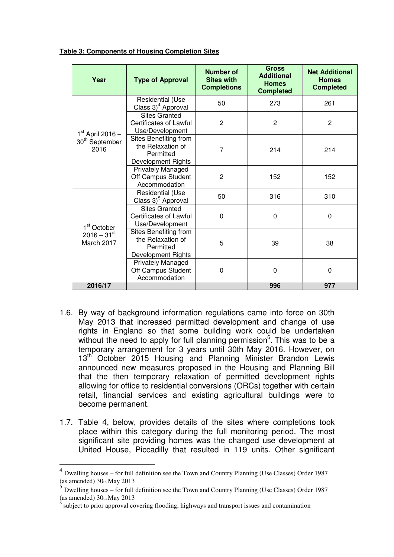| Year                                                                                                                           | <b>Type of Approval</b>                                                       | Number of<br><b>Sites with</b><br><b>Completions</b> | <b>Gross</b><br><b>Additional</b><br><b>Homes</b><br><b>Completed</b> | <b>Net Additional</b><br><b>Homes</b><br><b>Completed</b> |
|--------------------------------------------------------------------------------------------------------------------------------|-------------------------------------------------------------------------------|------------------------------------------------------|-----------------------------------------------------------------------|-----------------------------------------------------------|
|                                                                                                                                | Residential (Use<br>Class 3) <sup>4</sup> Approval                            | 50                                                   | 273                                                                   | 261                                                       |
| $1st$ April 2016 –<br>30 <sup>th</sup> September<br>2016<br>1 <sup>st</sup> October<br>$2016 - 31$ <sup>st</sup><br>March 2017 | <b>Sites Granted</b><br><b>Certificates of Lawful</b><br>Use/Development      | $\overline{2}$                                       | $\overline{2}$                                                        | $\overline{2}$                                            |
|                                                                                                                                | Sites Benefiting from<br>the Relaxation of<br>Permitted<br>Development Rights | $\overline{7}$                                       | 214                                                                   | 214                                                       |
|                                                                                                                                | <b>Privately Managed</b><br>Off Campus Student<br>Accommodation               | $\overline{2}$                                       | 152                                                                   | 152                                                       |
|                                                                                                                                | Residential (Use<br>Class 3) <sup>5</sup> Approval                            | 50                                                   | 316                                                                   | 310                                                       |
|                                                                                                                                | <b>Sites Granted</b><br>Certificates of Lawful<br>Use/Development             | 0                                                    | 0                                                                     | $\Omega$                                                  |
|                                                                                                                                | Sites Benefiting from<br>the Relaxation of<br>Permitted<br>Development Rights | 5                                                    | 39                                                                    | 38                                                        |
|                                                                                                                                | Privately Managed<br>Off Campus Student<br>Accommodation                      | $\mathbf{0}$                                         | 0                                                                     | 0                                                         |
| 2016/17                                                                                                                        |                                                                               |                                                      | 996                                                                   | 977                                                       |

**Table 3: Components of Housing Completion Sites**

- 1.6. By way of background information regulations came into force on 30th May 2013 that increased permitted development and change of use rights in England so that some building work could be undertaken without the need to apply for full planning permission $6$ . This was to be a temporary arrangement for 3 years until 30th May 2016. However, on 13<sup>th</sup> October 2015 Housing and Planning Minister Brandon Lewis announced new measures proposed in the Housing and Planning Bill that the then temporary relaxation of permitted development rights allowing for office to residential conversions (ORCs) together with certain retail, financial services and existing agricultural buildings were to become permanent.
- 1.7. Table 4, below, provides details of the sites where completions took place within this category during the full monitoring period. The most significant site providing homes was the changed use development at United House, Piccadilly that resulted in 119 units. Other significant

 $\overline{a}$ 

<sup>&</sup>lt;sup>4</sup> Dwelling houses – for full definition see the Town and Country Planning (Use Classes) Order 1987 (as amended) 30th May 2013

 $5$  Dwelling houses – for full definition see the Town and Country Planning (Use Classes) Order 1987 (as amended) 30th May 2013

<sup>6</sup> subject to prior approval covering flooding, highways and transport issues and contamination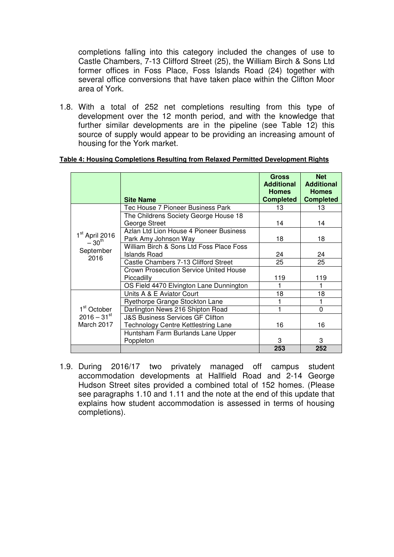completions falling into this category included the changes of use to Castle Chambers, 7-13 Clifford Street (25), the William Birch & Sons Ltd former offices in Foss Place, Foss Islands Road (24) together with several office conversions that have taken place within the Clifton Moor area of York.

1.8. With a total of 252 net completions resulting from this type of development over the 12 month period, and with the knowledge that further similar developments are in the pipeline (see Table 12) this source of supply would appear to be providing an increasing amount of housing for the York market.

|                                                                    | <b>Site Name</b>                              | <b>Gross</b><br><b>Additional</b><br><b>Homes</b><br><b>Completed</b> | <b>Net</b><br><b>Additional</b><br><b>Homes</b><br><b>Completed</b> |
|--------------------------------------------------------------------|-----------------------------------------------|-----------------------------------------------------------------------|---------------------------------------------------------------------|
|                                                                    | Tec House 7 Pioneer Business Park             | 13                                                                    | 13                                                                  |
|                                                                    | The Childrens Society George House 18         |                                                                       |                                                                     |
|                                                                    | George Street                                 | 14                                                                    | 14                                                                  |
| 1 <sup>st</sup> April 2016<br>$-30^{th}$<br>September<br>2016      | Azlan Ltd Lion House 4 Pioneer Business       |                                                                       |                                                                     |
|                                                                    | Park Amy Johnson Way                          | 18                                                                    | 18                                                                  |
|                                                                    | William Birch & Sons Ltd Foss Place Foss      |                                                                       |                                                                     |
|                                                                    | Islands Road                                  | 24                                                                    | 24                                                                  |
|                                                                    | Castle Chambers 7-13 Clifford Street          | 25                                                                    | 25                                                                  |
|                                                                    | <b>Crown Prosecution Service United House</b> |                                                                       |                                                                     |
|                                                                    | Piccadilly                                    | 119                                                                   | 119                                                                 |
|                                                                    | OS Field 4470 Elvington Lane Dunnington       |                                                                       |                                                                     |
|                                                                    | Units A & E Aviator Court                     | 18                                                                    | 18                                                                  |
| 1 <sup>st</sup> October<br>$2016 - 31$ <sup>st</sup><br>March 2017 | Ryethorpe Grange Stockton Lane                |                                                                       |                                                                     |
|                                                                    | Darlington News 216 Shipton Road              |                                                                       | $\Omega$                                                            |
|                                                                    | <b>J&amp;S Business Services GF Clifton</b>   |                                                                       |                                                                     |
|                                                                    | <b>Technology Centre Kettlestring Lane</b>    | 16                                                                    | 16                                                                  |
|                                                                    | Huntsham Farm Burlands Lane Upper             |                                                                       |                                                                     |
|                                                                    | Poppleton                                     | 3                                                                     | 3                                                                   |
|                                                                    |                                               | 253                                                                   | 252                                                                 |

#### **Table 4: Housing Completions Resulting from Relaxed Permitted Development Rights**

1.9. During 2016/17 two privately managed off campus student accommodation developments at Hallfield Road and 2-14 George Hudson Street sites provided a combined total of 152 homes. (Please see paragraphs 1.10 and 1.11 and the note at the end of this update that explains how student accommodation is assessed in terms of housing completions).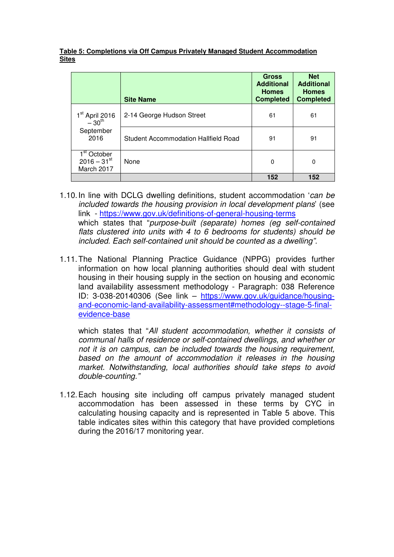### **Table 5: Completions via Off Campus Privately Managed Student Accommodation Sites**

|                                                                               | <b>Site Name</b>                     | <b>Gross</b><br><b>Additional</b><br><b>Homes</b><br><b>Completed</b> | <b>Net</b><br><b>Additional</b><br><b>Homes</b><br><b>Completed</b> |
|-------------------------------------------------------------------------------|--------------------------------------|-----------------------------------------------------------------------|---------------------------------------------------------------------|
| $1st$ April 2016<br>-30 <sup>th</sup>                                         | 2-14 George Hudson Street            | 61                                                                    | 61                                                                  |
| September<br>2016                                                             | Student Accommodation Hallfield Road | 91                                                                    | 91                                                                  |
| $\overline{1}^{\text{st}}$ October<br>$2016 - 31$ <sup>st</sup><br>March 2017 | None                                 | 0                                                                     | $\mathbf 0$                                                         |
|                                                                               |                                      | 152                                                                   | 152                                                                 |

- 1.10. In line with DCLG dwelling definitions, student accommodation 'can be included towards the housing provision in local development plans' (see link - https://www.gov.uk/definitions-of-general-housing-terms which states that "purpose-built (separate) homes (eg self-contained flats clustered into units with 4 to 6 bedrooms for students) should be included. Each self-contained unit should be counted as a dwelling".
- 1.11. The National Planning Practice Guidance (NPPG) provides further information on how local planning authorities should deal with student housing in their housing supply in the section on housing and economic land availability assessment methodology - Paragraph: 038 Reference ID: 3-038-20140306 (See link – https://www.gov.uk/guidance/housingand-economic-land-availability-assessment#methodology--stage-5-finalevidence-base

which states that "All student accommodation, whether it consists of communal halls of residence or self-contained dwellings, and whether or not it is on campus, can be included towards the housing requirement, based on the amount of accommodation it releases in the housing market. Notwithstanding, local authorities should take steps to avoid double-counting."

1.12. Each housing site including off campus privately managed student accommodation has been assessed in these terms by CYC in calculating housing capacity and is represented in Table 5 above. This table indicates sites within this category that have provided completions during the 2016/17 monitoring year.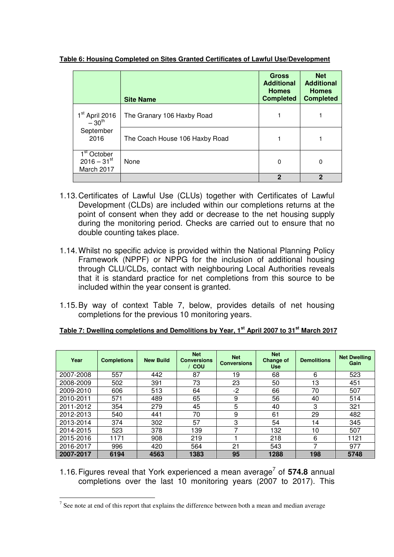|                                                                               | <b>Site Name</b>               | <b>Gross</b><br><b>Additional</b><br><b>Homes</b><br><b>Completed</b> | <b>Net</b><br><b>Additional</b><br><b>Homes</b><br><b>Completed</b> |
|-------------------------------------------------------------------------------|--------------------------------|-----------------------------------------------------------------------|---------------------------------------------------------------------|
| 1 <sup>st</sup> April 2016<br>$-30^{\text{th}}$                               | The Granary 106 Haxby Road     |                                                                       |                                                                     |
| September<br>2016                                                             | The Coach House 106 Haxby Road |                                                                       |                                                                     |
| $\overline{1}^{\text{st}}$ October<br>$2016 - 31$ <sup>st</sup><br>March 2017 | None                           | 0                                                                     | 0                                                                   |
|                                                                               |                                | $\overline{2}$                                                        | 2                                                                   |

**Table 6: Housing Completed on Sites Granted Certificates of Lawful Use/Development**

- 1.13. Certificates of Lawful Use (CLUs) together with Certificates of Lawful Development (CLDs) are included within our completions returns at the point of consent when they add or decrease to the net housing supply during the monitoring period. Checks are carried out to ensure that no double counting takes place.
- 1.14. Whilst no specific advice is provided within the National Planning Policy Framework (NPPF) or NPPG for the inclusion of additional housing through CLU/CLDs, contact with neighbouring Local Authorities reveals that it is standard practice for net completions from this source to be included within the year consent is granted.
- 1.15. By way of context Table 7, below, provides details of net housing completions for the previous 10 monitoring years.

| Year      | <b>Completions</b> | <b>New Build</b> | <b>Net</b><br><b>Conversions</b><br>/ COU | <b>Net</b><br><b>Conversions</b> | <b>Net</b><br><b>Change of</b><br><b>Use</b> | <b>Demolitions</b> | <b>Net Dwelling</b><br>Gain |
|-----------|--------------------|------------------|-------------------------------------------|----------------------------------|----------------------------------------------|--------------------|-----------------------------|
| 2007-2008 | 557                | 442              | 87                                        | 19                               | 68                                           | 6                  | 523                         |
| 2008-2009 | 502                | 391              | 73                                        | 23                               | 50                                           | 13                 | 451                         |
| 2009-2010 | 606                | 513              | 64                                        | $-2$                             | 66                                           | 70                 | 507                         |
| 2010-2011 | 571                | 489              | 65                                        | 9                                | 56                                           | 40                 | 514                         |
| 2011-2012 | 354                | 279              | 45                                        | 5                                | 40                                           | 3                  | 321                         |
| 2012-2013 | 540                | 441              | 70                                        | 9                                | 61                                           | 29                 | 482                         |
| 2013-2014 | 374                | 302              | 57                                        | 3                                | 54                                           | 14                 | 345                         |
| 2014-2015 | 523                | 378              | 139                                       | ⇁                                | 132                                          | 10                 | 507                         |
| 2015-2016 | 1171               | 908              | 219                                       |                                  | 218                                          | 6                  | 1121                        |
| 2016-2017 | 996                | 420              | 564                                       | 21                               | 543                                          |                    | 977                         |
| 2007-2017 | 6194               | 4563             | 1383                                      | 95                               | 1288                                         | 198                | 5748                        |

| Table 7: Dwelling completions and Demolitions by Year, 1 <sup>st</sup> April 2007 to 31 <sup>st</sup> March 2017 |
|------------------------------------------------------------------------------------------------------------------|
|------------------------------------------------------------------------------------------------------------------|

1.16. Figures reveal that York experienced a mean average<sup>7</sup> of 574.8 annual completions over the last 10 monitoring years (2007 to 2017). This

<sup>&</sup>lt;sup>7</sup> See note at end of this report that explains the difference between both a mean and median average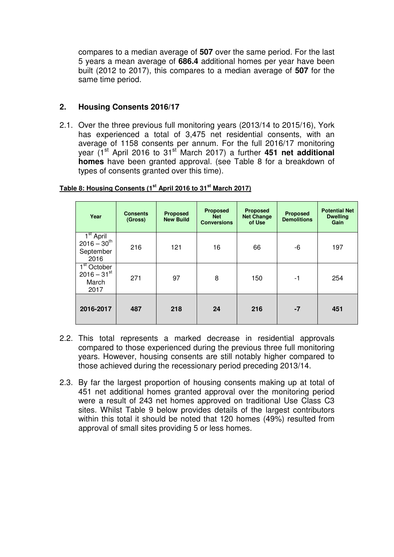compares to a median average of **507** over the same period. For the last 5 years a mean average of **686.4** additional homes per year have been built (2012 to 2017), this compares to a median average of **507** for the same time period.

# **2. Housing Consents 2016/17**

2.1. Over the three previous full monitoring years (2013/14 to 2015/16), York has experienced a total of 3,475 net residential consents, with an average of 1158 consents per annum. For the full 2016/17 monitoring year (1<sup>st</sup> April 2016 to 31<sup>st</sup> March 2017) a further **451 net additional homes** have been granted approval. (see Table 8 for a breakdown of types of consents granted over this time).

| Year                                                        | <b>Consents</b><br>(Gross) | <b>Proposed</b><br><b>New Build</b> | <b>Proposed</b><br><b>Net</b><br><b>Conversions</b> | <b>Proposed</b><br><b>Net Change</b><br>of Use | <b>Proposed</b><br><b>Demolitions</b> | <b>Potential Net</b><br><b>Dwelling</b><br>Gain |
|-------------------------------------------------------------|----------------------------|-------------------------------------|-----------------------------------------------------|------------------------------------------------|---------------------------------------|-------------------------------------------------|
| $1st$ April<br>$2016 - 30^{th}$<br>September<br>2016        | 216                        | 121                                 | 16                                                  | 66                                             | -6                                    | 197                                             |
| $1st$ October<br>$2016 - 31$ <sup>st</sup><br>March<br>2017 | 271                        | 97                                  | 8                                                   | 150                                            | $-1$                                  | 254                                             |
| 2016-2017                                                   | 487                        | 218                                 | 24                                                  | 216                                            | $-7$                                  | 451                                             |

### **Table 8: Housing Consents (1st April 2016 to 31st March 2017)**

- 2.2. This total represents a marked decrease in residential approvals compared to those experienced during the previous three full monitoring years. However, housing consents are still notably higher compared to those achieved during the recessionary period preceding 2013/14.
- 2.3. By far the largest proportion of housing consents making up at total of 451 net additional homes granted approval over the monitoring period were a result of 243 net homes approved on traditional Use Class C3 sites. Whilst Table 9 below provides details of the largest contributors within this total it should be noted that 120 homes (49%) resulted from approval of small sites providing 5 or less homes.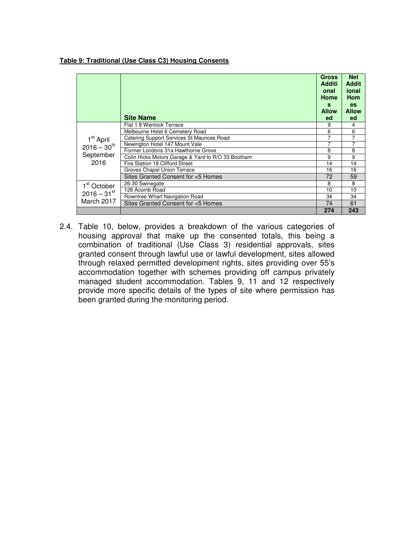#### **Table 9: Traditional (Use Class C3) Housing Consents**

|                                                                | <b>Site Name</b>                                                              | <b>Gross</b><br><b>Additi</b><br>onal<br>Home<br>s<br><b>Allow</b><br>ed | <b>Net</b><br><b>Addit</b><br>ional<br>Hom<br><b>es</b><br><b>Allow</b><br>ed |
|----------------------------------------------------------------|-------------------------------------------------------------------------------|--------------------------------------------------------------------------|-------------------------------------------------------------------------------|
|                                                                | Flat 1 8 Wenlock Terrace                                                      | 9<br>6                                                                   | 4<br>6                                                                        |
| 1 <sup>st</sup> April<br>$2016 - 30^{th}$<br>September<br>2016 | Melbourne Hotel 6 Cemetery Road<br>Catering Support Services St Maurices Road |                                                                          |                                                                               |
|                                                                | Newington Hotel 147 Mount Vale                                                | 7                                                                        | 7                                                                             |
|                                                                | Former Londons 31a Hawthorne Grove                                            | 8                                                                        | 8                                                                             |
|                                                                | Colin Hicks Motors Garage & Yard to R/O 33 Bootham                            | 9                                                                        | 9                                                                             |
|                                                                | Fire Station 18 Clifford Street                                               | 14                                                                       | 14                                                                            |
|                                                                | Groves Chapel Union Terrace                                                   | 16                                                                       | 16                                                                            |
|                                                                | Sites Granted Consent for <5 Homes                                            | 72                                                                       | 59                                                                            |
| 1 <sup>st</sup> October<br>$2016 - 31$ <sup>st</sup>           | 26-30 Swinegate                                                               | 8                                                                        | 8                                                                             |
|                                                                | 128 Acomb Road                                                                | 10                                                                       | 10                                                                            |
|                                                                | Rowntree Wharf Navigation Road                                                | 34                                                                       | 34                                                                            |
| March 2017                                                     | Sites Granted Consent for <5 Homes                                            | 74                                                                       | 61                                                                            |
|                                                                |                                                                               | 274                                                                      | 243                                                                           |

2.4. Table 10, below, provides a breakdown of the various categories of housing approval that make up the consented totals, this being a combination of traditional (Use Class 3) residential approvals, sites granted consent through lawful use or lawful development, sites allowed through relaxed permitted development rights, sites providing over 55's accommodation together with schemes providing off campus privately managed student accommodation. Tables 9, 11 and 12 respectively provide more specific details of the types of site where permission has been granted during the monitoring period.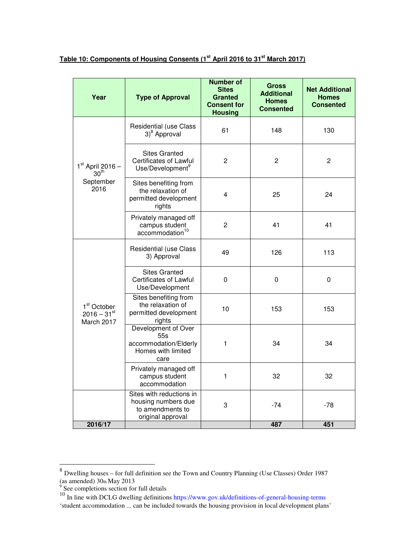**Table 10: Components of Housing Consents (1st April 2016 to 31st March 2017)**

| Year                                                               | <b>Type of Approval</b>                                                                  | <b>Number of</b><br><b>Sites</b><br><b>Granted</b><br><b>Consent for</b><br><b>Housing</b> | <b>Gross</b><br><b>Additional</b><br><b>Homes</b><br><b>Consented</b> | <b>Net Additional</b><br><b>Homes</b><br><b>Consented</b> |
|--------------------------------------------------------------------|------------------------------------------------------------------------------------------|--------------------------------------------------------------------------------------------|-----------------------------------------------------------------------|-----------------------------------------------------------|
|                                                                    | <b>Residential (use Class</b><br>3) <sup>8</sup> Approval                                | 61                                                                                         | 148                                                                   | 130                                                       |
| $1st$ April 2016 -<br>30 <sup>th</sup>                             | <b>Sites Granted</b><br><b>Certificates of Lawful</b><br>Use/Development <sup>9</sup>    | $\overline{c}$                                                                             | $\overline{c}$                                                        | $\mathbf{2}$                                              |
| September<br>2016                                                  | Sites benefiting from<br>the relaxation of<br>permitted development<br>rights            | $\overline{4}$                                                                             | 25                                                                    | 24                                                        |
|                                                                    | Privately managed off<br>campus student<br>accommodation <sup>10</sup>                   | $\overline{2}$                                                                             | 41                                                                    | 41                                                        |
|                                                                    | Residential (use Class<br>3) Approval                                                    | 49                                                                                         | 126                                                                   | 113                                                       |
| 1 <sup>st</sup> October<br>$2016 - 31$ <sup>st</sup><br>March 2017 | <b>Sites Granted</b><br><b>Certificates of Lawful</b><br>Use/Development                 | 0                                                                                          | 0                                                                     | 0                                                         |
|                                                                    | Sites benefiting from<br>the relaxation of<br>permitted development<br>rights            | 10                                                                                         | 153                                                                   | 153                                                       |
|                                                                    | Development of Over<br>55s<br>accommodation/Elderly<br>Homes with limited<br>care        | 1                                                                                          | 34                                                                    | 34                                                        |
|                                                                    | Privately managed off<br>campus student<br>accommodation                                 | $\mathbf{1}$                                                                               | 32                                                                    | 32                                                        |
|                                                                    | Sites with reductions in<br>housing numbers due<br>to amendments to<br>original approval | 3                                                                                          | -74                                                                   | $-78$                                                     |
| 2016/17                                                            |                                                                                          |                                                                                            | 487                                                                   | 451                                                       |

<sup>8&</sup>lt;br><sup>8</sup> Dwelling houses – for full definition see the Town and Country Planning (Use Classes) Order 1987

<sup>(</sup>as amended)  $30<sub>th</sub>$  May 2013<br><sup>9</sup> See completions section for full details

<sup>&</sup>lt;sup>10</sup> In line with DCLG dwelling definitions https://www.gov.uk/definitions-of-general-housing-terms 'student accommodation ... can be included towards the housing provision in local development plans'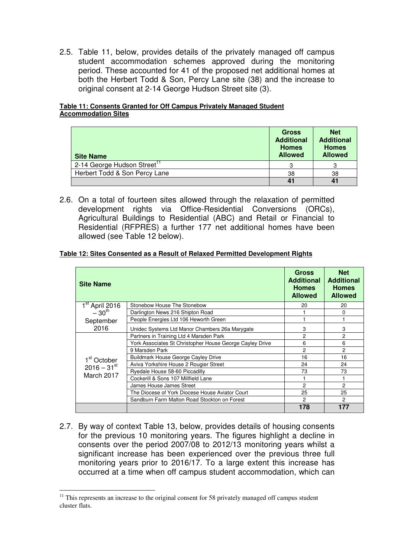2.5. Table 11, below, provides details of the privately managed off campus student accommodation schemes approved during the monitoring period. These accounted for 41 of the proposed net additional homes at both the Herbert Todd & Son, Percy Lane site (38) and the increase to original consent at 2-14 George Hudson Street site (3).

### **Table 11: Consents Granted for Off Campus Privately Managed Student Accommodation Sites**

| <b>Site Name</b>                        | <b>Gross</b><br><b>Additional</b><br><b>Homes</b><br><b>Allowed</b> | <b>Net</b><br><b>Additional</b><br><b>Homes</b><br><b>Allowed</b> |
|-----------------------------------------|---------------------------------------------------------------------|-------------------------------------------------------------------|
| 2-14 George Hudson Street <sup>11</sup> | 3                                                                   |                                                                   |
| Herbert Todd & Son Percy Lane           | 38                                                                  | 38                                                                |
|                                         |                                                                     |                                                                   |

2.6. On a total of fourteen sites allowed through the relaxation of permitted development rights via Office-Residential Conversions (ORCs), Agricultural Buildings to Residential (ABC) and Retail or Financial to Residential (RFPRES) a further 177 net additional homes have been allowed (see Table 12 below).

### **Table 12: Sites Consented as a Result of Relaxed Permitted Development Rights**

| <b>Site Name</b>                                                   |                                                          | Gross<br><b>Additional</b><br><b>Homes</b><br><b>Allowed</b> | <b>Net</b><br><b>Additional</b><br><b>Homes</b><br><b>Allowed</b> |
|--------------------------------------------------------------------|----------------------------------------------------------|--------------------------------------------------------------|-------------------------------------------------------------------|
| 1 <sup>st</sup> April 2016                                         | Stonebow House The Stonebow                              | 20                                                           | 20                                                                |
| $-30^{th}$                                                         | Darlington News 216 Shipton Road                         |                                                              | 0                                                                 |
| September                                                          | People Energies Ltd 106 Heworth Green                    |                                                              |                                                                   |
| 2016                                                               | Unidec Systems Ltd Manor Chambers 26a Marygate           | 3                                                            | 3                                                                 |
| 1 <sup>st</sup> October<br>$2016 - 31$ <sup>st</sup><br>March 2017 | Partners in Training Ltd 4 Marsden Park                  | 2                                                            | 2                                                                 |
|                                                                    | York Associates St Christopher House George Cayley Drive | 6                                                            | 6                                                                 |
|                                                                    | 9 Marsden Park                                           | 2                                                            | $\mathcal{P}$                                                     |
|                                                                    | <b>Buildmark House George Cayley Drive</b>               | 16                                                           | 16                                                                |
|                                                                    | Aviva Yorkshire House 2 Rougier Street                   | 24                                                           | 24                                                                |
|                                                                    | Ryedale House 58-60 Piccadilly                           | 73                                                           | 73                                                                |
|                                                                    | Cockerill & Sons 107 Millfield Lane                      |                                                              |                                                                   |
|                                                                    | James House James Street                                 | 2                                                            | 2                                                                 |
|                                                                    | The Diocese of York Diocese House Aviator Court          | 25                                                           | 25                                                                |
|                                                                    | Sandburn Farm Malton Road Stockton on Forest             | 2                                                            | $\overline{c}$                                                    |
|                                                                    |                                                          | 178                                                          | 177                                                               |

2.7. By way of context Table 13, below, provides details of housing consents for the previous 10 monitoring years. The figures highlight a decline in consents over the period 2007/08 to 2012/13 monitoring years whilst a significant increase has been experienced over the previous three full monitoring years prior to 2016/17. To a large extent this increase has occurred at a time when off campus student accommodation, which can

 $\overline{a}$  $11$  This represents an increase to the original consent for 58 privately managed off campus student cluster flats.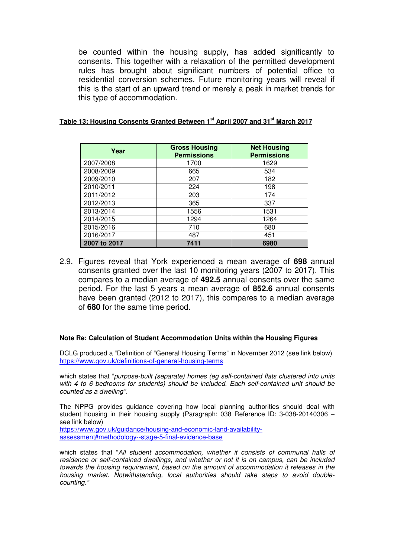be counted within the housing supply, has added significantly to consents. This together with a relaxation of the permitted development rules has brought about significant numbers of potential office to residential conversion schemes. Future monitoring years will reveal if this is the start of an upward trend or merely a peak in market trends for this type of accommodation.

| Year         | <b>Gross Housing</b><br><b>Permissions</b> | <b>Net Housing</b><br><b>Permissions</b> |
|--------------|--------------------------------------------|------------------------------------------|
| 2007/2008    | 1700                                       | 1629                                     |
| 2008/2009    | 665                                        | 534                                      |
| 2009/2010    | 207                                        | 182                                      |
| 2010/2011    | 224                                        | 198                                      |
| 2011/2012    | 203                                        | 174                                      |
| 2012/2013    | 365                                        | 337                                      |
| 2013/2014    | 1556                                       | 1531                                     |
| 2014/2015    | 1294                                       | 1264                                     |
| 2015/2016    | 710                                        | 680                                      |
| 2016/2017    | 487                                        | 451                                      |
| 2007 to 2017 | 7411                                       | 6980                                     |

### **Table 13: Housing Consents Granted Between 1st April 2007 and 31st March 2017**

2.9. Figures reveal that York experienced a mean average of **698** annual consents granted over the last 10 monitoring years (2007 to 2017). This compares to a median average of **492.5** annual consents over the same period. For the last 5 years a mean average of **852.6** annual consents have been granted (2012 to 2017), this compares to a median average of **680** for the same time period.

#### **Note Re: Calculation of Student Accommodation Units within the Housing Figures**

DCLG produced a "Definition of "General Housing Terms" in November 2012 (see link below) https://www.gov.uk/definitions-of-general-housing-terms

which states that "purpose-built (separate) homes (eg self-contained flats clustered into units with 4 to 6 bedrooms for students) should be included. Each self-contained unit should be counted as a dwelling".

The NPPG provides guidance covering how local planning authorities should deal with student housing in their housing supply (Paragraph: 038 Reference ID: 3-038-20140306 – see link below) https://www.gov.uk/guidance/housing-and-economic-land-availability-

assessment#methodology--stage-5-final-evidence-base

which states that "All student accommodation, whether it consists of communal halls of residence or self-contained dwellings, and whether or not it is on campus, can be included towards the housing requirement, based on the amount of accommodation it releases in the housing market. Notwithstanding, local authorities should take steps to avoid doublecounting."